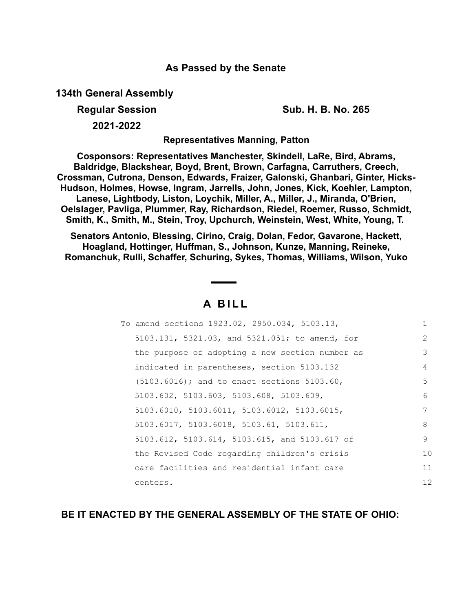## **As Passed by the Senate**

**134th General Assembly**

**Regular Session Sub. H. B. No. 265**

**2021-2022**

**Representatives Manning, Patton**

**Cosponsors: Representatives Manchester, Skindell, LaRe, Bird, Abrams, Baldridge, Blackshear, Boyd, Brent, Brown, Carfagna, Carruthers, Creech, Crossman, Cutrona, Denson, Edwards, Fraizer, Galonski, Ghanbari, Ginter, Hicks-Hudson, Holmes, Howse, Ingram, Jarrells, John, Jones, Kick, Koehler, Lampton, Lanese, Lightbody, Liston, Loychik, Miller, A., Miller, J., Miranda, O'Brien, Oelslager, Pavliga, Plummer, Ray, Richardson, Riedel, Roemer, Russo, Schmidt, Smith, K., Smith, M., Stein, Troy, Upchurch, Weinstein, West, White, Young, T.** 

**Senators Antonio, Blessing, Cirino, Craig, Dolan, Fedor, Gavarone, Hackett, Hoagland, Hottinger, Huffman, S., Johnson, Kunze, Manning, Reineke, Romanchuk, Rulli, Schaffer, Schuring, Sykes, Thomas, Williams, Wilson, Yuko**

## **A B I L L**

| To amend sections 1923.02, 2950.034, 5103.13,   |               |
|-------------------------------------------------|---------------|
| 5103.131, 5321.03, and 5321.051; to amend, for  | $\mathcal{L}$ |
| the purpose of adopting a new section number as | 3             |
| indicated in parentheses, section 5103.132      | 4             |
| $(5103.6016)$ ; and to enact sections 5103.60,  | 5             |
| 5103.602, 5103.603, 5103.608, 5103.609,         | 6             |
| 5103.6010, 5103.6011, 5103.6012, 5103.6015,     | 7             |
| 5103.6017, 5103.6018, 5103.61, 5103.611,        | 8             |
| 5103.612, 5103.614, 5103.615, and 5103.617 of   | 9             |
| the Revised Code regarding children's crisis    | 10            |
| care facilities and residential infant care     | 11            |
| centers.                                        | 12            |

**BE IT ENACTED BY THE GENERAL ASSEMBLY OF THE STATE OF OHIO:**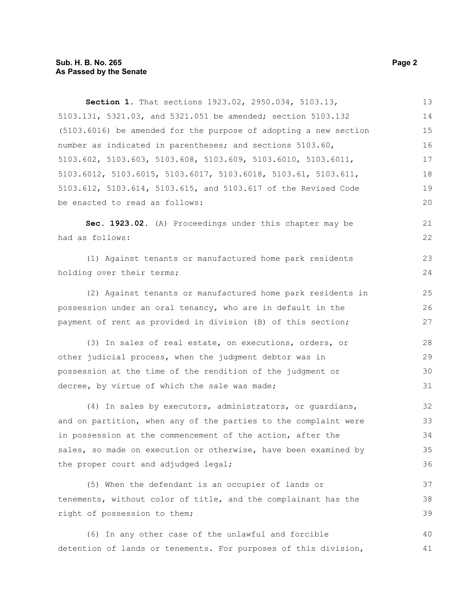| Section 1. That sections 1923.02, 2950.034, 5103.13,                            | 13 |
|---------------------------------------------------------------------------------|----|
| 5103.131, 5321.03, and 5321.051 be amended; section 5103.132                    | 14 |
| (5103.6016) be amended for the purpose of adopting a new section                | 15 |
| number as indicated in parentheses; and sections 5103.60,                       | 16 |
| $5103.602$ , $5103.603$ , $5103.608$ , $5103.609$ , $5103.6010$ , $5103.6011$ , | 17 |
| 5103.6012, 5103.6015, 5103.6017, 5103.6018, 5103.61, 5103.611,                  | 18 |
| 5103.612, 5103.614, 5103.615, and 5103.617 of the Revised Code                  | 19 |
| be enacted to read as follows:                                                  | 20 |
| Sec. 1923.02. (A) Proceedings under this chapter may be                         | 21 |
| had as follows:                                                                 | 22 |
| (1) Against tenants or manufactured home park residents                         | 23 |
| holding over their terms;                                                       | 24 |
| (2) Against tenants or manufactured home park residents in                      | 25 |
| possession under an oral tenancy, who are in default in the                     | 26 |
| payment of rent as provided in division (B) of this section;                    | 27 |
| (3) In sales of real estate, on executions, orders, or                          | 28 |
| other judicial process, when the judgment debtor was in                         | 29 |
| possession at the time of the rendition of the judgment or                      | 30 |
| decree, by virtue of which the sale was made;                                   | 31 |
| (4) In sales by executors, administrators, or quardians,                        | 32 |
| and on partition, when any of the parties to the complaint were                 | 33 |
| in possession at the commencement of the action, after the                      | 34 |
| sales, so made on execution or otherwise, have been examined by                 | 35 |
| the proper court and adjudged legal;                                            | 36 |
| (5) When the defendant is an occupier of lands or                               | 37 |
| tenements, without color of title, and the complainant has the                  | 38 |
| right of possession to them;                                                    | 39 |
| (6) In any other case of the unlawful and forcible                              | 40 |
| detention of lands or tenements. For purposes of this division,                 | 41 |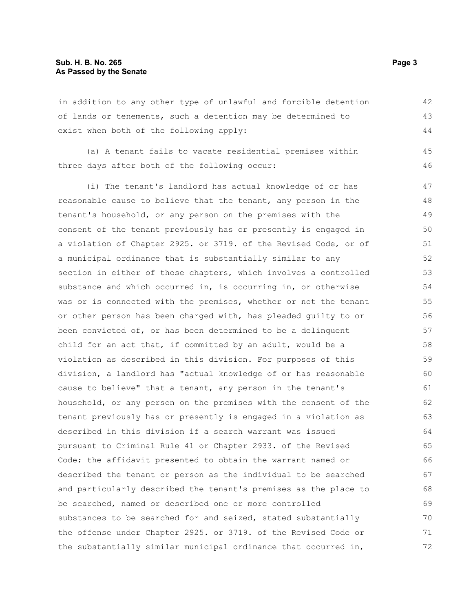in addition to any other type of unlawful and forcible detention of lands or tenements, such a detention may be determined to exist when both of the following apply: 42 43 44

(a) A tenant fails to vacate residential premises within three days after both of the following occur: 45 46

(i) The tenant's landlord has actual knowledge of or has reasonable cause to believe that the tenant, any person in the tenant's household, or any person on the premises with the consent of the tenant previously has or presently is engaged in a violation of Chapter 2925. or 3719. of the Revised Code, or of a municipal ordinance that is substantially similar to any section in either of those chapters, which involves a controlled substance and which occurred in, is occurring in, or otherwise was or is connected with the premises, whether or not the tenant or other person has been charged with, has pleaded guilty to or been convicted of, or has been determined to be a delinquent child for an act that, if committed by an adult, would be a violation as described in this division. For purposes of this division, a landlord has "actual knowledge of or has reasonable cause to believe" that a tenant, any person in the tenant's household, or any person on the premises with the consent of the tenant previously has or presently is engaged in a violation as described in this division if a search warrant was issued pursuant to Criminal Rule 41 or Chapter 2933. of the Revised Code; the affidavit presented to obtain the warrant named or described the tenant or person as the individual to be searched and particularly described the tenant's premises as the place to be searched, named or described one or more controlled substances to be searched for and seized, stated substantially the offense under Chapter 2925. or 3719. of the Revised Code or the substantially similar municipal ordinance that occurred in, 47 48 49 50 51 52 53 54 55 56 57 58 59 60 61 62 63 64 65 66 67 68 69 70 71 72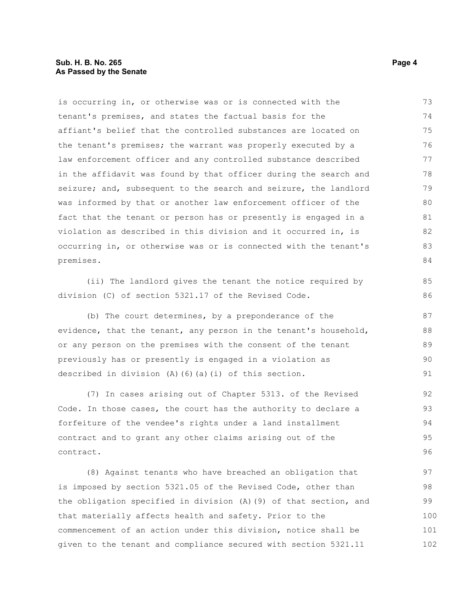## **Sub. H. B. No. 265 Page 4 As Passed by the Senate**

tenant's premises, and states the factual basis for the affiant's belief that the controlled substances are located on the tenant's premises; the warrant was properly executed by a law enforcement officer and any controlled substance described in the affidavit was found by that officer during the search and seizure; and, subsequent to the search and seizure, the landlord was informed by that or another law enforcement officer of the fact that the tenant or person has or presently is engaged in a violation as described in this division and it occurred in, is occurring in, or otherwise was or is connected with the tenant's premises. (ii) The landlord gives the tenant the notice required by division (C) of section 5321.17 of the Revised Code. (b) The court determines, by a preponderance of the evidence, that the tenant, any person in the tenant's household, or any person on the premises with the consent of the tenant previously has or presently is engaged in a violation as described in division (A)(6)(a)(i) of this section. (7) In cases arising out of Chapter 5313. of the Revised Code. In those cases, the court has the authority to declare a forfeiture of the vendee's rights under a land installment contract and to grant any other claims arising out of the contract. (8) Against tenants who have breached an obligation that is imposed by section 5321.05 of the Revised Code, other than 74 75 76 77 78 79 80 81 82 83 84 85 86 87 88 89 90 91 92 93 94 95 96 97 98

is occurring in, or otherwise was or is connected with the

the obligation specified in division (A)(9) of that section, and that materially affects health and safety. Prior to the commencement of an action under this division, notice shall be given to the tenant and compliance secured with section 5321.11 99 100 101 102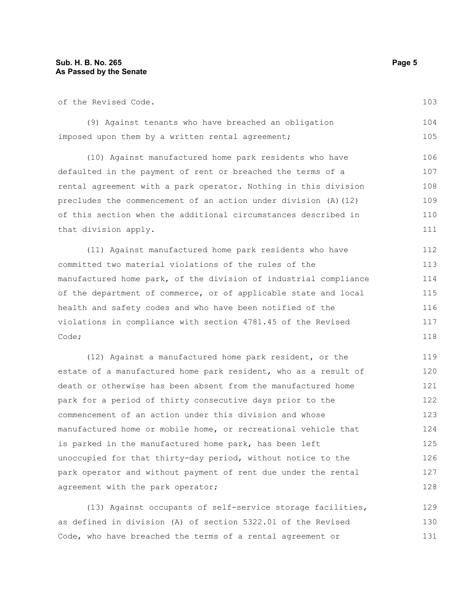of the Revised Code.

(9) Against tenants who have breached an obligation imposed upon them by a written rental agreement; 104 105

(10) Against manufactured home park residents who have defaulted in the payment of rent or breached the terms of a rental agreement with a park operator. Nothing in this division precludes the commencement of an action under division (A)(12) of this section when the additional circumstances described in that division apply. 106 107 108 109 110 111

(11) Against manufactured home park residents who have committed two material violations of the rules of the manufactured home park, of the division of industrial compliance of the department of commerce, or of applicable state and local health and safety codes and who have been notified of the violations in compliance with section 4781.45 of the Revised Code; 112 113 114 115 116 117 118

(12) Against a manufactured home park resident, or the estate of a manufactured home park resident, who as a result of death or otherwise has been absent from the manufactured home park for a period of thirty consecutive days prior to the commencement of an action under this division and whose manufactured home or mobile home, or recreational vehicle that is parked in the manufactured home park, has been left unoccupied for that thirty-day period, without notice to the park operator and without payment of rent due under the rental agreement with the park operator; 119 120 121 122 123 124 125 126 127 128

(13) Against occupants of self-service storage facilities, as defined in division (A) of section 5322.01 of the Revised Code, who have breached the terms of a rental agreement or 129 130 131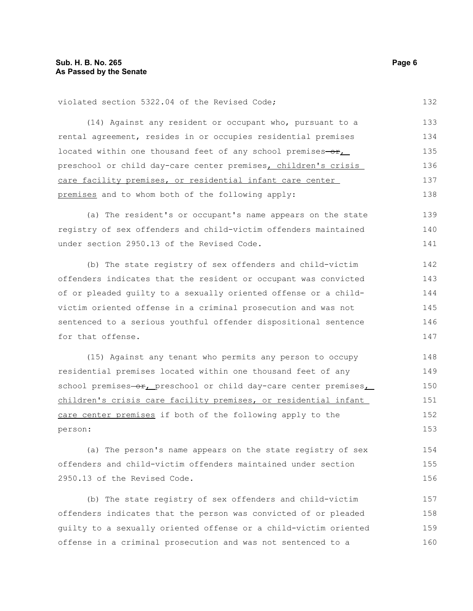violated section 5322.04 of the Revised Code;

(14) Against any resident or occupant who, pursuant to a rental agreement, resides in or occupies residential premises located within one thousand feet of any school premises- $o$ r, preschool or child day-care center premises, children's crisis care facility premises, or residential infant care center premises and to whom both of the following apply: 133 134 135 136 137 138

(a) The resident's or occupant's name appears on the state registry of sex offenders and child-victim offenders maintained under section 2950.13 of the Revised Code. 139 140 141

(b) The state registry of sex offenders and child-victim offenders indicates that the resident or occupant was convicted of or pleaded guilty to a sexually oriented offense or a childvictim oriented offense in a criminal prosecution and was not sentenced to a serious youthful offender dispositional sentence for that offense. 142 143 144 145 146 147

(15) Against any tenant who permits any person to occupy residential premises located within one thousand feet of any school premises-or, preschool or child day-care center premises, children's crisis care facility premises, or residential infant care center premises if both of the following apply to the person: 148 149 150 151 152 153

(a) The person's name appears on the state registry of sex offenders and child-victim offenders maintained under section 2950.13 of the Revised Code. 154 155 156

(b) The state registry of sex offenders and child-victim offenders indicates that the person was convicted of or pleaded guilty to a sexually oriented offense or a child-victim oriented offense in a criminal prosecution and was not sentenced to a 157 158 159 160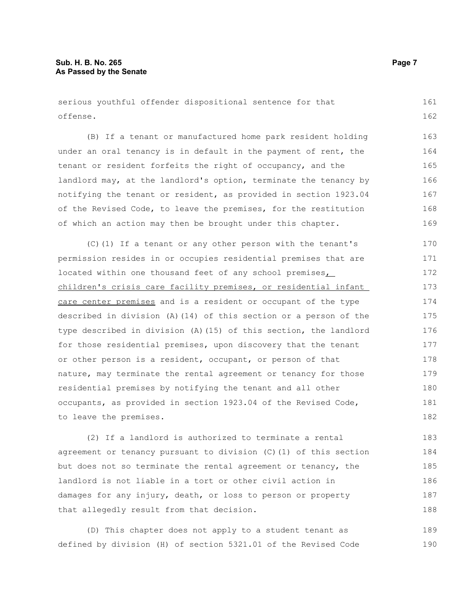serious youthful offender dispositional sentence for that offense. 161 162

(B) If a tenant or manufactured home park resident holding under an oral tenancy is in default in the payment of rent, the tenant or resident forfeits the right of occupancy, and the landlord may, at the landlord's option, terminate the tenancy by notifying the tenant or resident, as provided in section 1923.04 of the Revised Code, to leave the premises, for the restitution of which an action may then be brought under this chapter.

(C)(1) If a tenant or any other person with the tenant's permission resides in or occupies residential premises that are located within one thousand feet of any school premises, children's crisis care facility premises, or residential infant care center premises and is a resident or occupant of the type described in division (A)(14) of this section or a person of the type described in division (A)(15) of this section, the landlord for those residential premises, upon discovery that the tenant or other person is a resident, occupant, or person of that nature, may terminate the rental agreement or tenancy for those residential premises by notifying the tenant and all other occupants, as provided in section 1923.04 of the Revised Code, to leave the premises. 170 171 172 173 174 175 176 177 178 179 180 181 182

(2) If a landlord is authorized to terminate a rental agreement or tenancy pursuant to division (C)(1) of this section but does not so terminate the rental agreement or tenancy, the landlord is not liable in a tort or other civil action in damages for any injury, death, or loss to person or property that allegedly result from that decision. 183 184 185 186 187 188

(D) This chapter does not apply to a student tenant as defined by division (H) of section 5321.01 of the Revised Code 189 190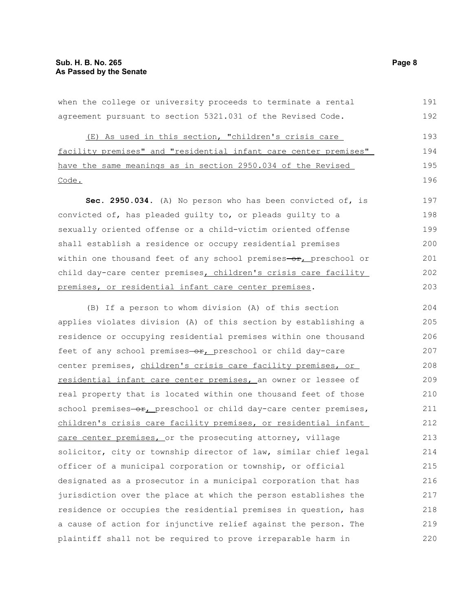when the college or university proceeds to terminate a rental agreement pursuant to section 5321.031 of the Revised Code. (E) As used in this section, "children's crisis care facility premises" and "residential infant care center premises" have the same meanings as in section 2950.034 of the Revised Code. **Sec. 2950.034.** (A) No person who has been convicted of, is convicted of, has pleaded guilty to, or pleads guilty to a sexually oriented offense or a child-victim oriented offense shall establish a residence or occupy residential premises within one thousand feet of any school premises-or, preschool or child day-care center premises, children's crisis care facility premises, or residential infant care center premises. (B) If a person to whom division (A) of this section applies violates division (A) of this section by establishing a residence or occupying residential premises within one thousand feet of any school premises-or, preschool or child day-care center premises, children's crisis care facility premises, or residential infant care center premises, an owner or lessee of real property that is located within one thousand feet of those 191 192 193 194 195 196 197 198 199 200 201 202 203 204 205 206 207 208 209 210

school premises-or, preschool or child day-care center premises, children's crisis care facility premises, or residential infant care center premises, or the prosecuting attorney, village solicitor, city or township director of law, similar chief legal officer of a municipal corporation or township, or official designated as a prosecutor in a municipal corporation that has jurisdiction over the place at which the person establishes the residence or occupies the residential premises in question, has a cause of action for injunctive relief against the person. The plaintiff shall not be required to prove irreparable harm in 211 212 213 214 215 216 217 218 219 220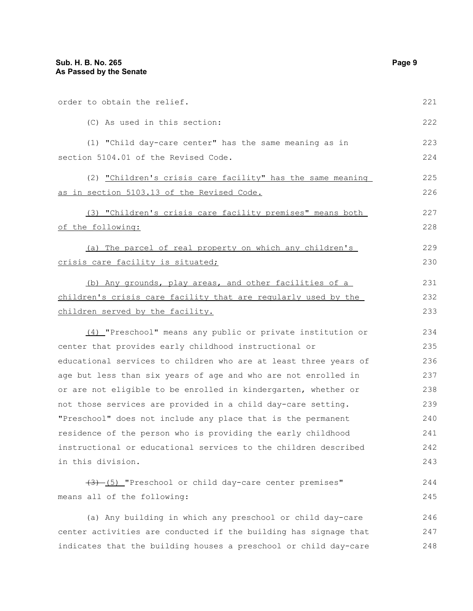| order to obtain the relief.                                      | 221 |
|------------------------------------------------------------------|-----|
| (C) As used in this section:                                     | 222 |
| (1) "Child day-care center" has the same meaning as in           | 223 |
| section 5104.01 of the Revised Code.                             | 224 |
| (2) "Children's crisis care facility" has the same meaning       | 225 |
| as in section 5103.13 of the Revised Code.                       | 226 |
| (3) "Children's crisis care facility premises" means both        | 227 |
| of the following:                                                | 228 |
| (a) The parcel of real property on which any children's          | 229 |
| crisis care facility is situated;                                | 230 |
| (b) Any grounds, play areas, and other facilities of a           | 231 |
| children's crisis care facility that are regularly used by the   | 232 |
| children served by the facility.                                 | 233 |
| (4) "Preschool" means any public or private institution or       | 234 |
| center that provides early childhood instructional or            | 235 |
| educational services to children who are at least three years of | 236 |
| age but less than six years of age and who are not enrolled in   | 237 |
| or are not eligible to be enrolled in kindergarten, whether or   | 238 |
| not those services are provided in a child day-care setting.     | 239 |
| "Preschool" does not include any place that is the permanent     | 240 |
| residence of the person who is providing the early childhood     | 241 |
| instructional or educational services to the children described  | 242 |
| in this division.                                                | 243 |
| $(3)$ (5) "Preschool or child day-care center premises"          | 244 |
| means all of the following:                                      | 245 |
| (a) Any building in which any preschool or child day-care        | 246 |
| center activities are conducted if the building has signage that | 247 |

indicates that the building houses a preschool or child day-care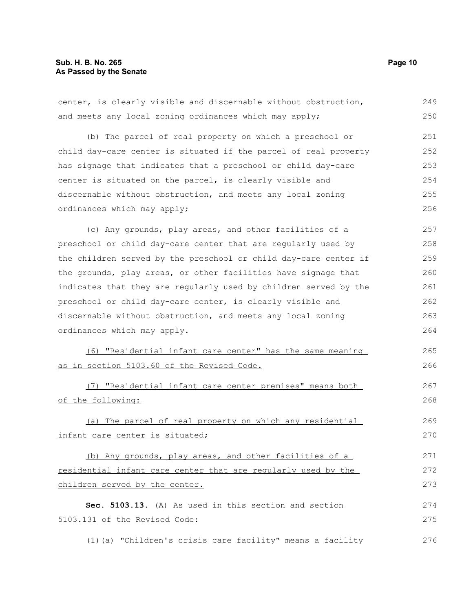| center, is clearly visible and discernable without obstruction,  | 249 |
|------------------------------------------------------------------|-----|
| and meets any local zoning ordinances which may apply;           | 250 |
| (b) The parcel of real property on which a preschool or          | 251 |
| child day-care center is situated if the parcel of real property | 252 |
| has signage that indicates that a preschool or child day-care    | 253 |
| center is situated on the parcel, is clearly visible and         | 254 |
| discernable without obstruction, and meets any local zoning      | 255 |
| ordinances which may apply;                                      | 256 |
| (c) Any grounds, play areas, and other facilities of a           | 257 |
| preschool or child day-care center that are regularly used by    | 258 |
| the children served by the preschool or child day-care center if | 259 |
| the grounds, play areas, or other facilities have signage that   | 260 |
| indicates that they are regularly used by children served by the | 261 |
| preschool or child day-care center, is clearly visible and       | 262 |
| discernable without obstruction, and meets any local zoning      | 263 |
| ordinances which may apply.                                      | 264 |
| (6) "Residential infant care center" has the same meaning        | 265 |
| as in section 5103.60 of the Revised Code.                       | 266 |
| (7) "Residential infant care center premises" means both         | 267 |
| of the following:                                                | 268 |
| (a) The parcel of real property on which any residential         | 269 |
| infant care center is situated;                                  | 270 |
| (b) Any grounds, play areas, and other facilities of a           | 271 |
| residential infant care center that are regularly used by the    | 272 |
| children served by the center.                                   | 273 |
| Sec. 5103.13. (A) As used in this section and section            | 274 |
| 5103.131 of the Revised Code:                                    | 275 |
| (1) (a) "Children's crisis care facility" means a facility       | 276 |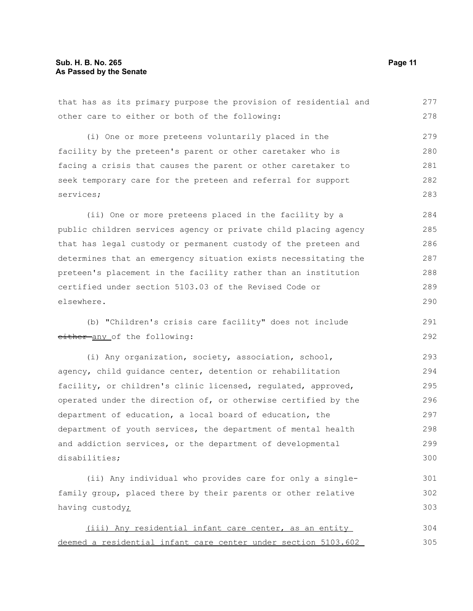that has as its primary purpose the provision of residential and other care to either or both of the following: (i) One or more preteens voluntarily placed in the facility by the preteen's parent or other caretaker who is facing a crisis that causes the parent or other caretaker to seek temporary care for the preteen and referral for support services; (ii) One or more preteens placed in the facility by a public children services agency or private child placing agency that has legal custody or permanent custody of the preteen and determines that an emergency situation exists necessitating the preteen's placement in the facility rather than an institution certified under section 5103.03 of the Revised Code or elsewhere. (b) "Children's crisis care facility" does not include either any of the following: (i) Any organization, society, association, school, agency, child guidance center, detention or rehabilitation facility, or children's clinic licensed, regulated, approved, operated under the direction of, or otherwise certified by the department of education, a local board of education, the 277 278 279 280 281 282 283 284 285 286 287 288 289 290 291 292 293 294 295 296 297

department of youth services, the department of mental health and addiction services, or the department of developmental disabilities; 298 299 300

(ii) Any individual who provides care for only a singlefamily group, placed there by their parents or other relative having custody; 301 302 303

(iii) Any residential infant care center, as an entity deemed a residential infant care center under section 5103.602 304 305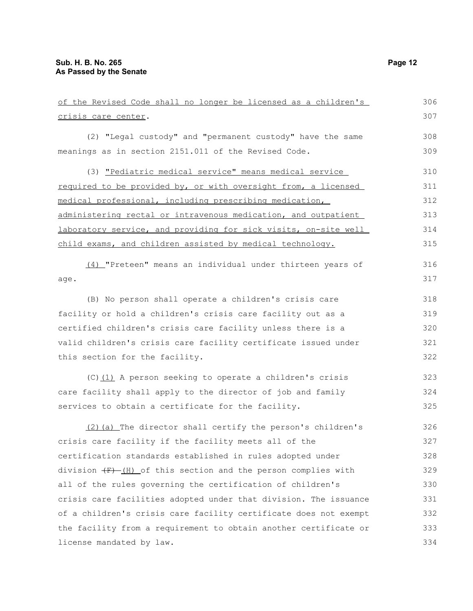| of the Revised Code shall no longer be licensed as a children's          | 306 |
|--------------------------------------------------------------------------|-----|
| crisis care center.                                                      | 307 |
| (2) "Legal custody" and "permanent custody" have the same                | 308 |
| meanings as in section 2151.011 of the Revised Code.                     | 309 |
| (3) "Pediatric medical service" means medical service                    | 310 |
| required to be provided by, or with oversight from, a licensed           | 311 |
| medical professional, including prescribing medication,                  | 312 |
| administering rectal or intravenous medication, and outpatient           | 313 |
| laboratory service, and providing for sick visits, on-site well          | 314 |
| child exams, and children assisted by medical technology.                | 315 |
| (4) "Preteen" means an individual under thirteen years of                | 316 |
| age.                                                                     | 317 |
| (B) No person shall operate a children's crisis care                     | 318 |
| facility or hold a children's crisis care facility out as a              | 319 |
| certified children's crisis care facility unless there is a              | 320 |
| valid children's crisis care facility certificate issued under           | 321 |
|                                                                          |     |
| this section for the facility.                                           | 322 |
| $(C)$ (1) A person seeking to operate a children's crisis                | 323 |
| care facility shall apply to the director of job and family              | 324 |
| services to obtain a certificate for the facility.                       | 325 |
| (2) (a) The director shall certify the person's children's               | 326 |
| crisis care facility if the facility meets all of the                    | 327 |
| certification standards established in rules adopted under               | 328 |
| division $\overline{F}$ (H) of this section and the person complies with | 329 |
| all of the rules governing the certification of children's               | 330 |
| crisis care facilities adopted under that division. The issuance         | 331 |
| of a children's crisis care facility certificate does not exempt         | 332 |
| the facility from a requirement to obtain another certificate or         | 333 |
| license mandated by law.                                                 | 334 |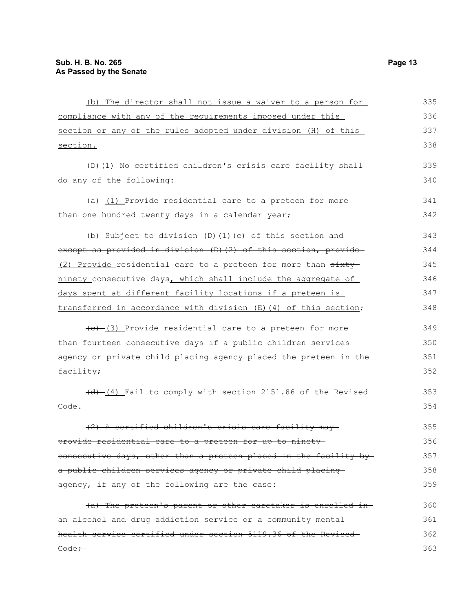| (b) The director shall not issue a waiver to a person for        | 335 |
|------------------------------------------------------------------|-----|
| compliance with any of the requirements imposed under this       | 336 |
| section or any of the rules adopted under division (H) of this   | 337 |
| section.                                                         | 338 |
| $(D)$ $(1)$ No certified children's crisis care facility shall   | 339 |
| do any of the following:                                         | 340 |
| $(a)$ (1) Provide residential care to a preteen for more         | 341 |
| than one hundred twenty days in a calendar year;                 | 342 |
| (b) Subject to division $(D)$ $(1)$ $(c)$ of this section and    | 343 |
| except as provided in division (D)(2) of this section, provide   | 344 |
| (2) Provide residential care to a preteen for more than sixty    | 345 |
| ninety_consecutive days, which shall include the aggregate of    | 346 |
| days spent at different facility locations if a preteen is       | 347 |
| transferred in accordance with division (E) (4) of this section; | 348 |
| $(e)$ (3) Provide residential care to a preteen for more         | 349 |
| than fourteen consecutive days if a public children services     | 350 |
| agency or private child placing agency placed the preteen in the | 351 |
| facility;                                                        | 352 |
| (4) [4] Fail to comply with section 2151.86 of the Revised       | 353 |
| Code.                                                            | 354 |
| certified children's crisis care facility                        | 355 |
| provide residential care to a preteen for up to ninety           | 356 |
| consecutive days, other than a preteen placed in the facility by | 357 |
| a public children services agency or private child placing-      | 358 |
| agency, if any of the following are the case:                    | 359 |
| (a) The preteen's parent or other caretaker is enrolled in-      | 360 |
| an alcohol and drug addiction service or a community mental      | 361 |
| health service certified under section 5119.36 of the Revised-   | 362 |
| Code;-                                                           | 363 |
|                                                                  |     |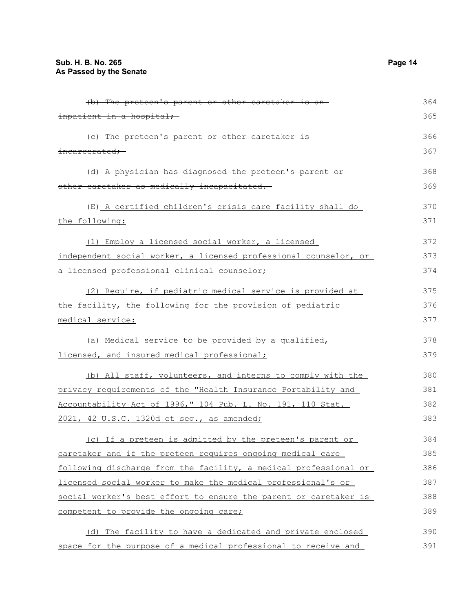| inpatient in a hospital;<br>365<br>366<br>(c) The preteen's parent or other caretaker is-<br>367<br>incarcerated;<br>(d) A physician has diagnosed the preteen's parent or-<br>368<br>other caretaker as medically incapacitated.<br>369<br>370<br>(E) A certified children's crisis care facility shall do<br>371<br>the following:<br>372<br>(1) Employ a licensed social worker, a licensed<br>independent social worker, a licensed professional counselor, or<br>373<br>374<br>a licensed professional clinical counselor;<br>375<br>(2) Require, if pediatric medical service is provided at<br>the facility, the following for the provision of pediatric<br>376<br>medical service:<br>377<br>378<br>(a) Medical service to be provided by a qualified,<br>379<br>licensed, and insured medical professional;<br>380<br>(b) All staff, volunteers, and interns to comply with the<br>privacy requirements of the "Health Insurance Portability and<br>381<br>Accountability Act of 1996," 104 Pub. L. No. 191, 110 Stat.<br>382<br>383<br>2021, 42 U.S.C. 1320d et seq., as amended;<br>384<br>(c) If a preteen is admitted by the preteen's parent or<br>caretaker and if the preteen requires ongoing medical care<br>385<br>following discharge from the facility, a medical professional or<br>386<br>licensed social worker to make the medical professional's or<br>387<br>social worker's best effort to ensure the parent or caretaker is<br>388<br>389<br>competent to provide the ongoing care;<br>(d) The facility to have a dedicated and private enclosed<br>390 | (b) The preteen's parent or other caretaker is an- | 364 |
|---------------------------------------------------------------------------------------------------------------------------------------------------------------------------------------------------------------------------------------------------------------------------------------------------------------------------------------------------------------------------------------------------------------------------------------------------------------------------------------------------------------------------------------------------------------------------------------------------------------------------------------------------------------------------------------------------------------------------------------------------------------------------------------------------------------------------------------------------------------------------------------------------------------------------------------------------------------------------------------------------------------------------------------------------------------------------------------------------------------------------------------------------------------------------------------------------------------------------------------------------------------------------------------------------------------------------------------------------------------------------------------------------------------------------------------------------------------------------------------------------------------------------------------------------------------------------------------|----------------------------------------------------|-----|
|                                                                                                                                                                                                                                                                                                                                                                                                                                                                                                                                                                                                                                                                                                                                                                                                                                                                                                                                                                                                                                                                                                                                                                                                                                                                                                                                                                                                                                                                                                                                                                                       |                                                    |     |
|                                                                                                                                                                                                                                                                                                                                                                                                                                                                                                                                                                                                                                                                                                                                                                                                                                                                                                                                                                                                                                                                                                                                                                                                                                                                                                                                                                                                                                                                                                                                                                                       |                                                    |     |
|                                                                                                                                                                                                                                                                                                                                                                                                                                                                                                                                                                                                                                                                                                                                                                                                                                                                                                                                                                                                                                                                                                                                                                                                                                                                                                                                                                                                                                                                                                                                                                                       |                                                    |     |
|                                                                                                                                                                                                                                                                                                                                                                                                                                                                                                                                                                                                                                                                                                                                                                                                                                                                                                                                                                                                                                                                                                                                                                                                                                                                                                                                                                                                                                                                                                                                                                                       |                                                    |     |
|                                                                                                                                                                                                                                                                                                                                                                                                                                                                                                                                                                                                                                                                                                                                                                                                                                                                                                                                                                                                                                                                                                                                                                                                                                                                                                                                                                                                                                                                                                                                                                                       |                                                    |     |
|                                                                                                                                                                                                                                                                                                                                                                                                                                                                                                                                                                                                                                                                                                                                                                                                                                                                                                                                                                                                                                                                                                                                                                                                                                                                                                                                                                                                                                                                                                                                                                                       |                                                    |     |
|                                                                                                                                                                                                                                                                                                                                                                                                                                                                                                                                                                                                                                                                                                                                                                                                                                                                                                                                                                                                                                                                                                                                                                                                                                                                                                                                                                                                                                                                                                                                                                                       |                                                    |     |
|                                                                                                                                                                                                                                                                                                                                                                                                                                                                                                                                                                                                                                                                                                                                                                                                                                                                                                                                                                                                                                                                                                                                                                                                                                                                                                                                                                                                                                                                                                                                                                                       |                                                    |     |
|                                                                                                                                                                                                                                                                                                                                                                                                                                                                                                                                                                                                                                                                                                                                                                                                                                                                                                                                                                                                                                                                                                                                                                                                                                                                                                                                                                                                                                                                                                                                                                                       |                                                    |     |
|                                                                                                                                                                                                                                                                                                                                                                                                                                                                                                                                                                                                                                                                                                                                                                                                                                                                                                                                                                                                                                                                                                                                                                                                                                                                                                                                                                                                                                                                                                                                                                                       |                                                    |     |
|                                                                                                                                                                                                                                                                                                                                                                                                                                                                                                                                                                                                                                                                                                                                                                                                                                                                                                                                                                                                                                                                                                                                                                                                                                                                                                                                                                                                                                                                                                                                                                                       |                                                    |     |
|                                                                                                                                                                                                                                                                                                                                                                                                                                                                                                                                                                                                                                                                                                                                                                                                                                                                                                                                                                                                                                                                                                                                                                                                                                                                                                                                                                                                                                                                                                                                                                                       |                                                    |     |
|                                                                                                                                                                                                                                                                                                                                                                                                                                                                                                                                                                                                                                                                                                                                                                                                                                                                                                                                                                                                                                                                                                                                                                                                                                                                                                                                                                                                                                                                                                                                                                                       |                                                    |     |
|                                                                                                                                                                                                                                                                                                                                                                                                                                                                                                                                                                                                                                                                                                                                                                                                                                                                                                                                                                                                                                                                                                                                                                                                                                                                                                                                                                                                                                                                                                                                                                                       |                                                    |     |
|                                                                                                                                                                                                                                                                                                                                                                                                                                                                                                                                                                                                                                                                                                                                                                                                                                                                                                                                                                                                                                                                                                                                                                                                                                                                                                                                                                                                                                                                                                                                                                                       |                                                    |     |
|                                                                                                                                                                                                                                                                                                                                                                                                                                                                                                                                                                                                                                                                                                                                                                                                                                                                                                                                                                                                                                                                                                                                                                                                                                                                                                                                                                                                                                                                                                                                                                                       |                                                    |     |
|                                                                                                                                                                                                                                                                                                                                                                                                                                                                                                                                                                                                                                                                                                                                                                                                                                                                                                                                                                                                                                                                                                                                                                                                                                                                                                                                                                                                                                                                                                                                                                                       |                                                    |     |
|                                                                                                                                                                                                                                                                                                                                                                                                                                                                                                                                                                                                                                                                                                                                                                                                                                                                                                                                                                                                                                                                                                                                                                                                                                                                                                                                                                                                                                                                                                                                                                                       |                                                    |     |
|                                                                                                                                                                                                                                                                                                                                                                                                                                                                                                                                                                                                                                                                                                                                                                                                                                                                                                                                                                                                                                                                                                                                                                                                                                                                                                                                                                                                                                                                                                                                                                                       |                                                    |     |
|                                                                                                                                                                                                                                                                                                                                                                                                                                                                                                                                                                                                                                                                                                                                                                                                                                                                                                                                                                                                                                                                                                                                                                                                                                                                                                                                                                                                                                                                                                                                                                                       |                                                    |     |
|                                                                                                                                                                                                                                                                                                                                                                                                                                                                                                                                                                                                                                                                                                                                                                                                                                                                                                                                                                                                                                                                                                                                                                                                                                                                                                                                                                                                                                                                                                                                                                                       |                                                    |     |
|                                                                                                                                                                                                                                                                                                                                                                                                                                                                                                                                                                                                                                                                                                                                                                                                                                                                                                                                                                                                                                                                                                                                                                                                                                                                                                                                                                                                                                                                                                                                                                                       |                                                    |     |
|                                                                                                                                                                                                                                                                                                                                                                                                                                                                                                                                                                                                                                                                                                                                                                                                                                                                                                                                                                                                                                                                                                                                                                                                                                                                                                                                                                                                                                                                                                                                                                                       |                                                    |     |
|                                                                                                                                                                                                                                                                                                                                                                                                                                                                                                                                                                                                                                                                                                                                                                                                                                                                                                                                                                                                                                                                                                                                                                                                                                                                                                                                                                                                                                                                                                                                                                                       |                                                    |     |
|                                                                                                                                                                                                                                                                                                                                                                                                                                                                                                                                                                                                                                                                                                                                                                                                                                                                                                                                                                                                                                                                                                                                                                                                                                                                                                                                                                                                                                                                                                                                                                                       |                                                    |     |
|                                                                                                                                                                                                                                                                                                                                                                                                                                                                                                                                                                                                                                                                                                                                                                                                                                                                                                                                                                                                                                                                                                                                                                                                                                                                                                                                                                                                                                                                                                                                                                                       |                                                    |     |
|                                                                                                                                                                                                                                                                                                                                                                                                                                                                                                                                                                                                                                                                                                                                                                                                                                                                                                                                                                                                                                                                                                                                                                                                                                                                                                                                                                                                                                                                                                                                                                                       |                                                    |     |
|                                                                                                                                                                                                                                                                                                                                                                                                                                                                                                                                                                                                                                                                                                                                                                                                                                                                                                                                                                                                                                                                                                                                                                                                                                                                                                                                                                                                                                                                                                                                                                                       |                                                    |     |
| space for the purpose of a medical professional to receive and<br>391                                                                                                                                                                                                                                                                                                                                                                                                                                                                                                                                                                                                                                                                                                                                                                                                                                                                                                                                                                                                                                                                                                                                                                                                                                                                                                                                                                                                                                                                                                                 |                                                    |     |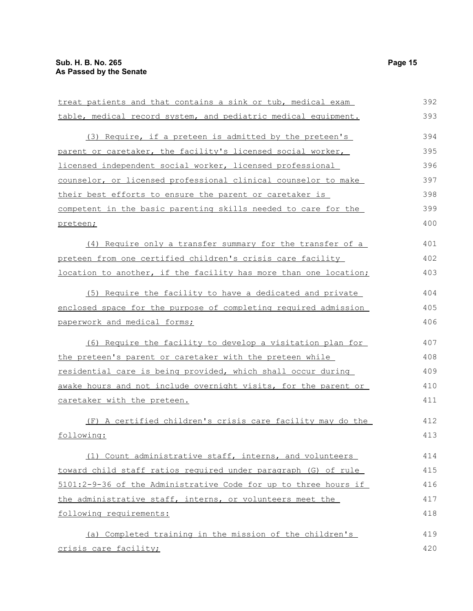| treat patients and that contains a sink or tub, medical exam     | 392 |
|------------------------------------------------------------------|-----|
| table, medical record system, and pediatric medical equipment.   | 393 |
|                                                                  | 394 |
| (3) Require, if a preteen is admitted by the preteen's           |     |
| parent or caretaker, the facility's licensed social worker,      | 395 |
| licensed independent social worker, licensed professional        | 396 |
| counselor, or licensed professional clinical counselor to make   | 397 |
| their best efforts to ensure the parent or caretaker is          | 398 |
| competent in the basic parenting skills needed to care for the   | 399 |
| preteen;                                                         | 400 |
| (4) Require only a transfer summary for the transfer of a        | 401 |
| preteen from one certified children's crisis care facility       | 402 |
| location to another, if the facility has more than one location; | 403 |
| (5) Require the facility to have a dedicated and private         | 404 |
| enclosed space for the purpose of completing required admission  | 405 |
| paperwork and medical forms;                                     | 406 |
| (6) Require the facility to develop a visitation plan for        | 407 |
| the preteen's parent or caretaker with the preteen while         | 408 |
| residential care is being provided, which shall occur during     | 409 |
| awake hours and not include overnight visits, for the parent or  | 410 |
| caretaker with the preteen.                                      | 411 |
| (F) A certified children's crisis care facility may do the       | 412 |
| following:                                                       | 413 |
| (1) Count administrative staff, interns, and volunteers          | 414 |
| toward child staff ratios required under paragraph (G) of rule   | 415 |
| 5101:2-9-36 of the Administrative Code for up to three hours if  | 416 |
| the administrative staff, interns, or volunteers meet the        | 417 |
| following requirements:                                          | 418 |
| (a) Completed training in the mission of the children's          | 419 |
| crisis care facility;                                            | 420 |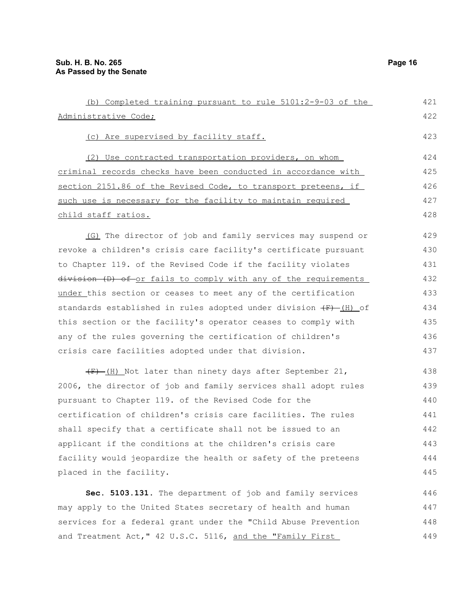| (b) Completed training pursuant to rule 5101:2-9-03 of the         | 421 |
|--------------------------------------------------------------------|-----|
| Administrative Code;                                               | 422 |
| (c) Are supervised by facility staff.                              | 423 |
| (2) Use contracted transportation providers, on whom               | 424 |
| criminal records checks have been conducted in accordance with     | 425 |
| section 2151.86 of the Revised Code, to transport preteens, if     | 426 |
| such use is necessary for the facility to maintain required        | 427 |
| child staff ratios.                                                | 428 |
| (G) The director of job and family services may suspend or         | 429 |
| revoke a children's crisis care facility's certificate pursuant    | 430 |
| to Chapter 119. of the Revised Code if the facility violates       | 431 |
| division (D) of or fails to comply with any of the requirements    | 432 |
| under this section or ceases to meet any of the certification      | 433 |
| standards established in rules adopted under division $(F)$ (H) of | 434 |
| this section or the facility's operator ceases to comply with      | 435 |
| any of the rules governing the certification of children's         | 436 |
| crisis care facilities adopted under that division.                | 437 |
| $(F)$ -(H) Not later than ninety days after September 21,          | 438 |
| 2006, the director of job and family services shall adopt rules    | 439 |
| pursuant to Chapter 119. of the Revised Code for the               | 440 |
| certification of children's crisis care facilities. The rules      | 441 |
| shall specify that a certificate shall not be issued to an         | 442 |
| applicant if the conditions at the children's crisis care          | 443 |
| facility would jeopardize the health or safety of the preteens     | 444 |
| placed in the facility.                                            | 445 |
| Sec. 5103.131. The department of job and family services           | 446 |
| may apply to the United States secretary of health and human       | 447 |
| services for a federal grant under the "Child Abuse Prevention     | 448 |

and Treatment Act," 42 U.S.C. 5116, and the "Family First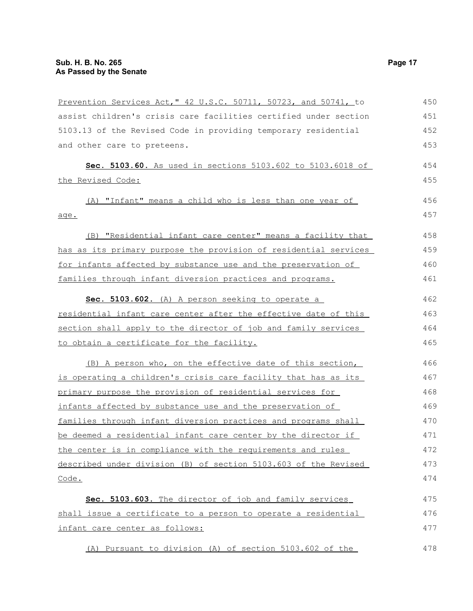| Prevention Services Act," 42 U.S.C. 50711, 50723, and 50741, to  | 450 |
|------------------------------------------------------------------|-----|
| assist children's crisis care facilities certified under section | 451 |
| 5103.13 of the Revised Code in providing temporary residential   | 452 |
| and other care to preteens.                                      | 453 |
| Sec. 5103.60. As used in sections 5103.602 to 5103.6018 of       | 454 |
| the Revised Code:                                                | 455 |
| (A) "Infant" means a child who is less than one year of          | 456 |
| age.                                                             | 457 |
| (B) "Residential infant care center" means a facility that       | 458 |
| has as its primary purpose the provision of residential services | 459 |
| for infants affected by substance use and the preservation of    | 460 |
| families through infant diversion practices and programs.        | 461 |
| Sec. 5103.602. (A) A person seeking to operate a                 | 462 |
| residential infant care center after the effective date of this  | 463 |
| section shall apply to the director of job and family services   | 464 |
| to obtain a certificate for the facility.                        | 465 |
| (B) A person who, on the effective date of this section,         | 466 |
| is operating a children's crisis care facility that has as its   | 467 |
| primary purpose the provision of residential services for        | 468 |
| infants affected by substance use and the preservation of        | 469 |
| families through infant diversion practices and programs shall   | 470 |
| be deemed a residential infant care center by the director if    | 471 |
| the center is in compliance with the requirements and rules      | 472 |
| described under division (B) of section 5103.603 of the Revised  | 473 |
| Code.                                                            | 474 |
| Sec. 5103.603. The director of job and family services           | 475 |
| shall issue a certificate to a person to operate a residential   | 476 |
| infant care center as follows:                                   | 477 |
| (A) Pursuant to division (A) of section 5103.602 of the          | 478 |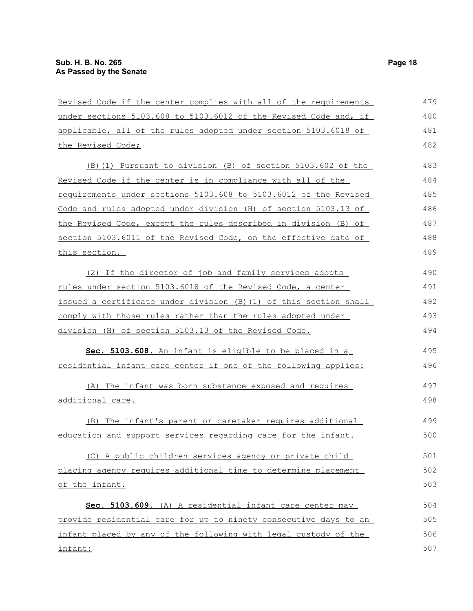| Revised Code if the center complies with all of the requirements  | 479 |
|-------------------------------------------------------------------|-----|
| under sections 5103.608 to 5103.6012 of the Revised Code and, if  | 480 |
| applicable, all of the rules adopted under section 5103.6018 of   | 481 |
| the Revised Code;                                                 | 482 |
| (B) (1) Pursuant to division (B) of section 5103.602 of the       | 483 |
| Revised Code if the center is in compliance with all of the       | 484 |
| requirements under sections 5103.608 to 5103.6012 of the Revised  | 485 |
| Code and rules adopted under division (H) of section 5103.13 of   | 486 |
| the Revised Code, except the rules described in division (B) of   | 487 |
| section 5103.6011 of the Revised Code, on the effective date of   | 488 |
| this section.                                                     | 489 |
| (2) If the director of job and family services adopts             | 490 |
| rules under section 5103.6018 of the Revised Code, a center       | 491 |
| issued a certificate under division (B) (1) of this section shall | 492 |
| comply with those rules rather than the rules adopted under       | 493 |
| division (H) of section 5103.13 of the Revised Code.              | 494 |
| Sec. 5103.608. An infant is eligible to be placed in a            | 495 |
| residential infant care center if one of the following applies:   | 496 |
| (A) The infant was born substance exposed and requires            | 497 |
| <u>additional care.</u>                                           | 498 |
| (B) The infant's parent or caretaker requires additional          | 499 |
| education and support services regarding care for the infant.     | 500 |
| (C) A public children services agency or private child            | 501 |
| placing agency requires additional time to determine placement    | 502 |
| of the infant.                                                    | 503 |
| Sec. 5103.609. (A) A residential infant care center may           | 504 |
| provide residential care for up to ninety consecutive days to an  | 505 |
| infant placed by any of the following with legal custody of the   | 506 |
| infant:                                                           | 507 |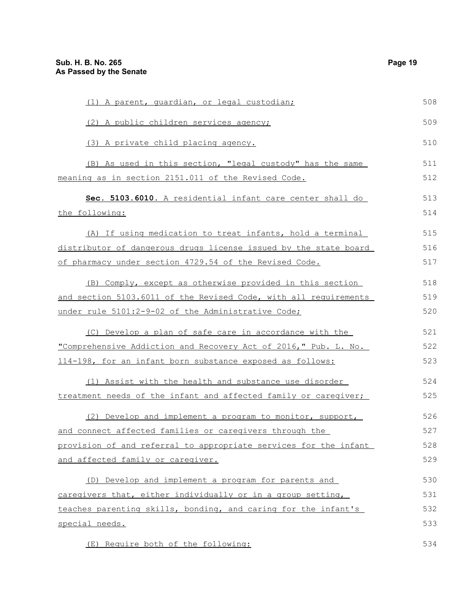| (1) A parent, quardian, or legal custodian;                      | 508 |
|------------------------------------------------------------------|-----|
| (2) A public children services agency;                           | 509 |
| (3) A private child placing agency.                              | 510 |
| (B) As used in this section, "legal custody" has the same        | 511 |
| meaning as in section 2151.011 of the Revised Code.              | 512 |
| Sec. 5103.6010. A residential infant care center shall do        | 513 |
| the following:                                                   | 514 |
| (A) If using medication to treat infants, hold a terminal        | 515 |
| distributor of dangerous drugs license issued by the state board | 516 |
| of pharmacy under section 4729.54 of the Revised Code.           | 517 |
| (B) Comply, except as otherwise provided in this section         | 518 |
| and section 5103.6011 of the Revised Code, with all requirements | 519 |
| under rule 5101:2-9-02 of the Administrative Code;               | 520 |
| (C) Develop a plan of safe care in accordance with the           | 521 |
| "Comprehensive Addiction and Recovery Act of 2016," Pub. L. No.  | 522 |
| 114-198, for an infant born substance exposed as follows:        | 523 |
| (1) Assist with the health and substance use disorder            | 524 |
| treatment needs of the infant and affected family or caregiver;  | 525 |
| (2) Develop and implement a program to monitor, support,         | 526 |
| and connect affected families or caregivers through the          | 527 |
| provision of and referral to appropriate services for the infant | 528 |
| and affected family or caregiver.                                | 529 |
| (D) Develop and implement a program for parents and              | 530 |
| caregivers that, either individually or in a group setting,      | 531 |
| teaches parenting skills, bonding, and caring for the infant's   | 532 |
| special needs.                                                   | 533 |
| (E) Require both of the following:                               | 534 |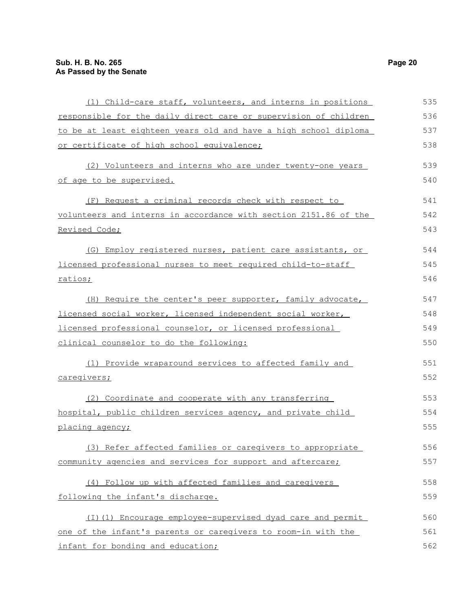| (1) Child-care staff, volunteers, and interns in positions       | 535 |
|------------------------------------------------------------------|-----|
| responsible for the daily direct care or supervision of children | 536 |
| to be at least eighteen years old and have a high school diploma | 537 |
| or certificate of high school equivalence;                       | 538 |
| (2) Volunteers and interns who are under twenty-one years        | 539 |
| of age to be supervised.                                         | 540 |
| (F) Request a criminal records check with respect to             | 541 |
| volunteers and interns in accordance with section 2151.86 of the | 542 |
| Revised Code;                                                    | 543 |
| (G) Employ registered nurses, patient care assistants, or        | 544 |
| licensed professional nurses to meet required child-to-staff     | 545 |
| ratios;                                                          | 546 |
| (H) Require the center's peer supporter, family advocate,        | 547 |
| licensed social worker, licensed independent social worker,      | 548 |
| licensed professional counselor, or licensed professional        | 549 |
| clinical counselor to do the following:                          | 550 |
| (1) Provide wraparound services to affected family and           | 551 |
| caregivers;                                                      | 552 |
| (2) Coordinate and cooperate with any transferring               | 553 |
| hospital, public children services agency, and private child     | 554 |
| placing agency;                                                  | 555 |
| (3) Refer affected families or caregivers to appropriate         | 556 |
| community agencies and services for support and aftercare;       | 557 |
| (4) Follow up with affected families and caregivers              | 558 |
| following the infant's discharge.                                | 559 |
| (I) (1) Encourage employee-supervised dyad care and permit       | 560 |
| one of the infant's parents or caregivers to room-in with the    | 561 |
| infant for bonding and education;                                | 562 |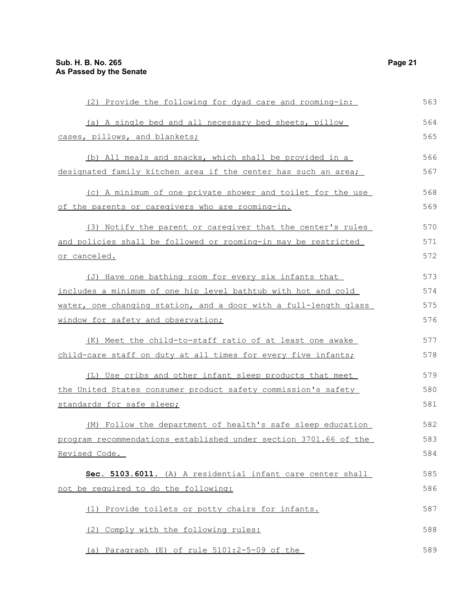| (2) Provide the following for dyad care and rooming-in:               | 563 |
|-----------------------------------------------------------------------|-----|
| (a) A single bed and all necessary bed sheets, pillow                 | 564 |
| cases, pillows, and blankets;                                         | 565 |
| (b) All meals and snacks, which shall be provided in a                | 566 |
| <u>designated family kitchen area if the center has such an area;</u> | 567 |
| (c) A minimum of one private shower and toilet for the use            | 568 |
| of the parents or caregivers who are rooming-in.                      | 569 |
| (3) Notify the parent or caregiver that the center's rules            | 570 |
| and policies shall be followed or rooming-in may be restricted        | 571 |
| <u>or canceled.</u>                                                   | 572 |
| (J) Have one bathing room for every six infants that                  | 573 |
| includes a minimum of one hip level bathtub with hot and cold         | 574 |
| water, one changing station, and a door with a full-length glass      | 575 |
| window for safety and observation;                                    | 576 |
| (K) Meet the child-to-staff ratio of at least one awake               | 577 |
| child-care staff on duty at all times for every five infants;         | 578 |
| (L) Use cribs and other infant sleep products that meet               | 579 |
| <u>the United States consumer product safety commission's safety </u> | 580 |
| standards for safe sleep;                                             | 581 |
| (M) Follow the department of health's safe sleep education            | 582 |
| program recommendations established under section 3701.66 of the      | 583 |
| Revised Code.                                                         | 584 |
| Sec. 5103.6011. (A) A residential infant care center shall            | 585 |
| not be required to do the following:                                  | 586 |
| (1) Provide toilets or potty chairs for infants.                      | 587 |
| (2) Comply with the following rules:                                  | 588 |
| (a) Paragraph (E) of rule 5101:2-5-09 of the                          | 589 |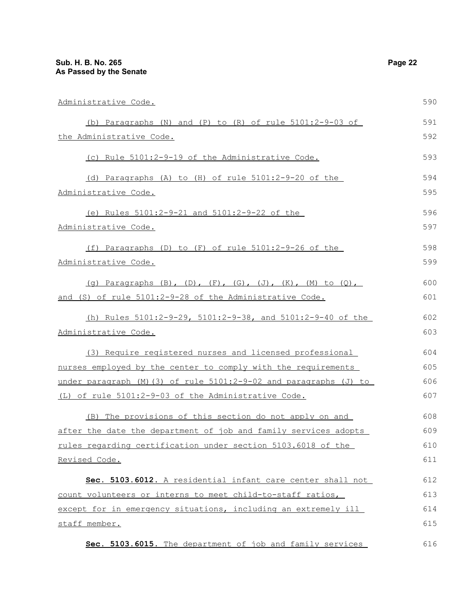| Administrative Code.                                               | 590 |
|--------------------------------------------------------------------|-----|
| (b) Paragraphs (N) and (P) to (R) of rule $5101:2-9-03$ of         | 591 |
| the Administrative Code.                                           | 592 |
| (c) Rule 5101:2-9-19 of the Administrative Code.                   | 593 |
| (d) Paragraphs (A) to (H) of rule 5101:2-9-20 of the               | 594 |
| Administrative Code.                                               | 595 |
| (e) Rules 5101:2-9-21 and 5101:2-9-22 of the                       | 596 |
| Administrative Code.                                               | 597 |
| (f) Paragraphs (D) to (F) of rule 5101:2-9-26 of the               | 598 |
| Administrative Code.                                               | 599 |
| (q) Paragraphs (B), (D), (F), (G), (J), (K), (M) to (Q),           | 600 |
| and (S) of rule 5101:2-9-28 of the Administrative Code.            | 601 |
| (h) Rules $5101:2-9-29$ , $5101:2-9-38$ , and $5101:2-9-40$ of the | 602 |
| Administrative Code.                                               | 603 |
| (3) Require registered nurses and licensed professional            | 604 |
| nurses employed by the center to comply with the requirements      | 605 |
| under paragraph (M) (3) of rule 5101:2-9-02 and paragraphs (J) to  | 606 |
| (L) of rule 5101:2-9-03 of the Administrative Code.                | 607 |
| (B) The provisions of this section do not apply on and             | 608 |
| after the date the department of job and family services adopts    | 609 |
| rules regarding certification under section 5103.6018 of the       | 610 |
| Revised Code.                                                      | 611 |
| Sec. 5103.6012. A residential infant care center shall not         | 612 |
| count volunteers or interns to meet child-to-staff ratios,         | 613 |
| except for in emergency situations, including an extremely ill     | 614 |
| staff member.                                                      | 615 |
| Sec. 5103.6015. The department of job and family services          | 616 |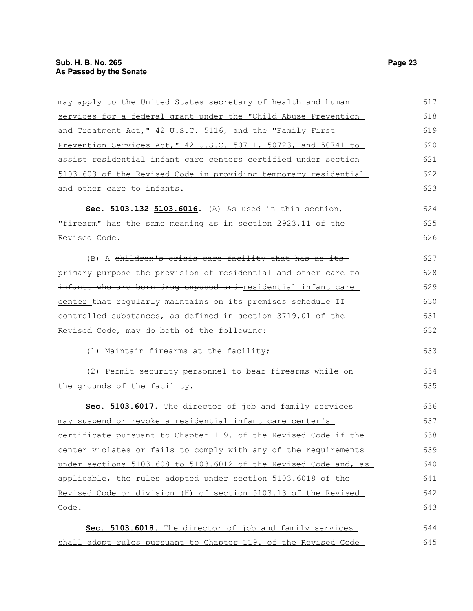| may apply to the United States secretary of health and human     | 617 |
|------------------------------------------------------------------|-----|
| services for a federal grant under the "Child Abuse Prevention   | 618 |
| and Treatment Act, " 42 U.S.C. 5116, and the "Family First       | 619 |
| Prevention Services Act, " 42 U.S.C. 50711, 50723, and 50741 to  | 620 |
| assist residential infant care centers certified under section   | 621 |
| 5103.603 of the Revised Code in providing temporary residential  | 622 |
| and other care to infants.                                       | 623 |
| Sec. 5103.132-5103.6016. (A) As used in this section,            | 624 |
| "firearm" has the same meaning as in section 2923.11 of the      | 625 |
| Revised Code.                                                    | 626 |
| (B) A children's crisis care facility that has as its-           | 627 |
| primary purpose the provision of residential and other care to   | 628 |
| infants who are born drug exposed and-residential infant care    | 629 |
| center_that regularly maintains on its premises schedule II      | 630 |
| controlled substances, as defined in section 3719.01 of the      | 631 |
| Revised Code, may do both of the following:                      | 632 |
| (1) Maintain firearms at the facility;                           | 633 |
| (2) Permit security personnel to bear firearms while on          | 634 |
| the grounds of the facility.                                     | 635 |
| Sec. 5103.6017. The director of job and family services          | 636 |
| may suspend or revoke a residential infant care center's         | 637 |
| certificate pursuant to Chapter 119. of the Revised Code if the  | 638 |
| center violates or fails to comply with any of the requirements  | 639 |
| under sections 5103.608 to 5103.6012 of the Revised Code and, as | 640 |
| applicable, the rules adopted under section 5103.6018 of the     | 641 |
| Revised Code or division (H) of section 5103.13 of the Revised   | 642 |
| Code.                                                            | 643 |
| Sec. 5103.6018. The director of job and family services          | 644 |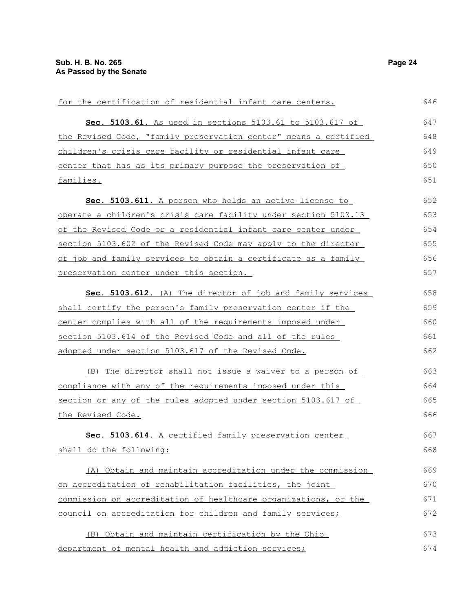| for the certification of residential infant care centers.        | 646 |
|------------------------------------------------------------------|-----|
| Sec. 5103.61. As used in sections 5103.61 to 5103.617 of         | 647 |
| the Revised Code, "family preservation center" means a certified | 648 |
| children's crisis care facility or residential infant care       | 649 |
| center that has as its primary purpose the preservation of       | 650 |
| families.                                                        | 651 |
| Sec. 5103.611. A person who holds an active license to           | 652 |
| operate a children's crisis care facility under section 5103.13  | 653 |
| of the Revised Code or a residential infant care center under    | 654 |
| section 5103.602 of the Revised Code may apply to the director   | 655 |
| of job and family services to obtain a certificate as a family   | 656 |
| preservation center under this section.                          | 657 |
| Sec. 5103.612. (A) The director of job and family services       | 658 |
| shall certify the person's family preservation center if the     | 659 |
| center complies with all of the requirements imposed under       | 660 |
| section 5103.614 of the Revised Code and all of the rules        | 661 |
| adopted under section 5103.617 of the Revised Code.              | 662 |
| (B) The director shall not issue a waiver to a person of         | 663 |
| compliance with any of the requirements imposed under this       | 664 |
| section or any of the rules adopted under section 5103.617 of    | 665 |
| the Revised Code.                                                | 666 |
| Sec. 5103.614. A certified family preservation center            | 667 |
| shall do the following:                                          | 668 |
| (A) Obtain and maintain accreditation under the commission       | 669 |
| on accreditation of rehabilitation facilities, the joint         | 670 |
| commission on accreditation of healthcare organizations, or the  | 671 |
| council on accreditation for children and family services;       | 672 |
| (B) Obtain and maintain certification by the Ohio                | 673 |
| department of mental health and addiction services;              | 674 |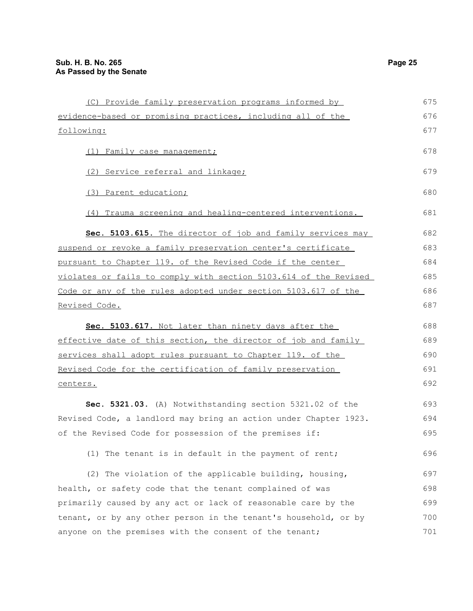| (C) Provide family preservation programs informed by             | 675 |
|------------------------------------------------------------------|-----|
| evidence-based or promising practices, including all of the      | 676 |
| following:                                                       | 677 |
| (1) Family case management;                                      | 678 |
| (2) Service referral and linkage;                                | 679 |
| (3) Parent education;                                            | 680 |
| (4) Trauma screening and healing-centered interventions.         | 681 |
| Sec. 5103.615. The director of job and family services may       | 682 |
| suspend or revoke a family preservation center's certificate     | 683 |
| pursuant to Chapter 119. of the Revised Code if the center       | 684 |
| violates or fails to comply with section 5103.614 of the Revised | 685 |
| Code or any of the rules adopted under section 5103.617 of the   | 686 |
| Revised Code.                                                    | 687 |
| Sec. 5103.617. Not later than ninety days after the              | 688 |
|                                                                  |     |
| effective date of this section, the director of job and family   | 689 |
| services shall adopt rules pursuant to Chapter 119. of the       | 690 |
| Revised Code for the certification of family preservation        | 691 |
| centers.                                                         | 692 |
| Sec. 5321.03. (A) Notwithstanding section 5321.02 of the         | 693 |
| Revised Code, a landlord may bring an action under Chapter 1923. | 694 |
| of the Revised Code for possession of the premises if:           | 695 |
| (1) The tenant is in default in the payment of rent;             | 696 |
| (2) The violation of the applicable building, housing,           | 697 |
| health, or safety code that the tenant complained of was         | 698 |
| primarily caused by any act or lack of reasonable care by the    | 699 |
| tenant, or by any other person in the tenant's household, or by  | 700 |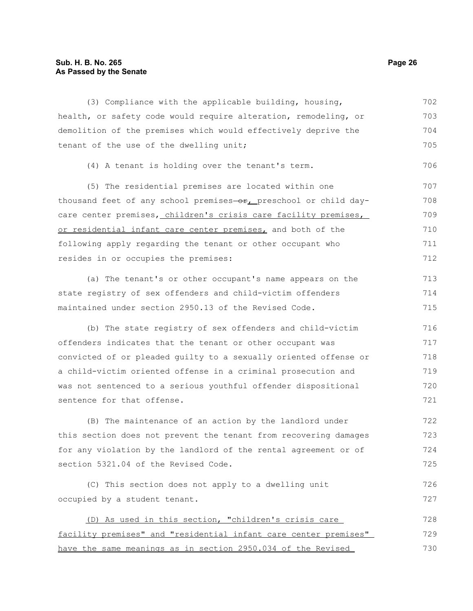## **Sub. H. B. No. 265 Page 26 As Passed by the Senate**

(3) Compliance with the applicable building, housing, health, or safety code would require alteration, remodeling, or demolition of the premises which would effectively deprive the tenant of the use of the dwelling unit; 702 703 704 705

```
(4) A tenant is holding over the tenant's term.
```
(5) The residential premises are located within one thousand feet of any school premises-or, preschool or child daycare center premises, children's crisis care facility premises, or residential infant care center premises, and both of the following apply regarding the tenant or other occupant who resides in or occupies the premises: 707 708 709 710 711 712

(a) The tenant's or other occupant's name appears on the state registry of sex offenders and child-victim offenders maintained under section 2950.13 of the Revised Code. 713 714 715

(b) The state registry of sex offenders and child-victim offenders indicates that the tenant or other occupant was convicted of or pleaded guilty to a sexually oriented offense or a child-victim oriented offense in a criminal prosecution and was not sentenced to a serious youthful offender dispositional sentence for that offense. 716 717 718 719 720 721

(B) The maintenance of an action by the landlord under this section does not prevent the tenant from recovering damages for any violation by the landlord of the rental agreement or of section 5321.04 of the Revised Code. 722 723 724 725

(C) This section does not apply to a dwelling unit occupied by a student tenant. 726 727

(D) As used in this section, "children's crisis care facility premises" and "residential infant care center premises" have the same meanings as in section 2950.034 of the Revised 728 729 730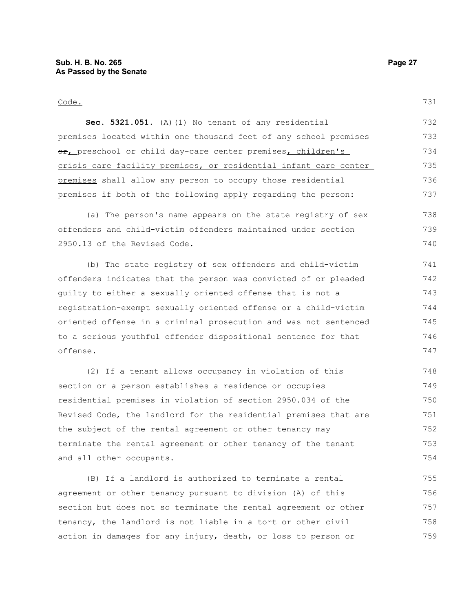731

**Sec. 5321.051.** (A)(1) No tenant of any residential premises located within one thousand feet of any school premises or, preschool or child day-care center premises, children's crisis care facility premises, or residential infant care center premises shall allow any person to occupy those residential premises if both of the following apply regarding the person: 732 733 734 735 736 737

(a) The person's name appears on the state registry of sex offenders and child-victim offenders maintained under section 2950.13 of the Revised Code. 738 739 740

(b) The state registry of sex offenders and child-victim offenders indicates that the person was convicted of or pleaded guilty to either a sexually oriented offense that is not a registration-exempt sexually oriented offense or a child-victim oriented offense in a criminal prosecution and was not sentenced to a serious youthful offender dispositional sentence for that offense. 741 742 743 744 745 746 747

(2) If a tenant allows occupancy in violation of this section or a person establishes a residence or occupies residential premises in violation of section 2950.034 of the Revised Code, the landlord for the residential premises that are the subject of the rental agreement or other tenancy may terminate the rental agreement or other tenancy of the tenant and all other occupants. 748 749 750 751 752 753 754

(B) If a landlord is authorized to terminate a rental agreement or other tenancy pursuant to division (A) of this section but does not so terminate the rental agreement or other tenancy, the landlord is not liable in a tort or other civil action in damages for any injury, death, or loss to person or 755 756 757 758 759